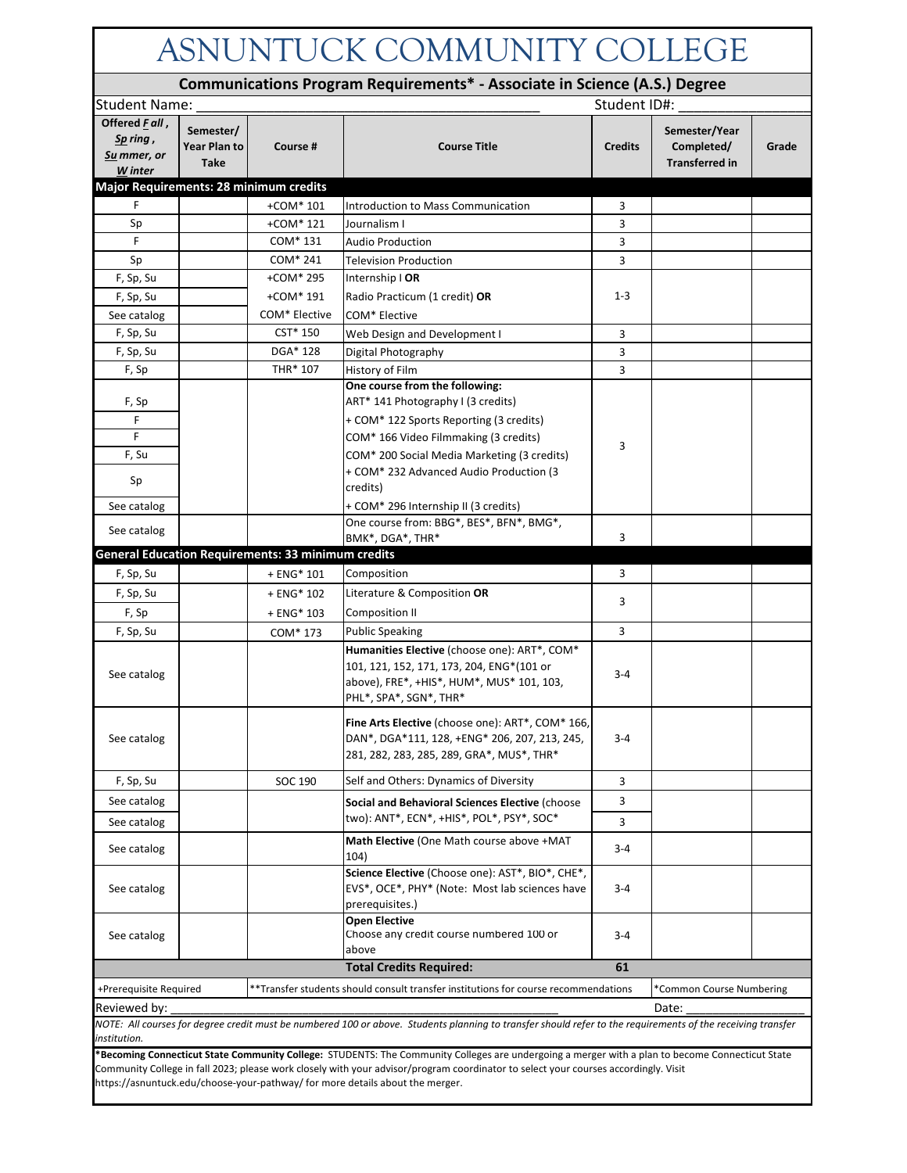| ASNUNTUCK COMMUNITY COLLEGE                                                                                                                                                                                                                                                            |                                          |                                                           |                                                                                                                                                                  |                |                                                      |       |  |  |  |  |
|----------------------------------------------------------------------------------------------------------------------------------------------------------------------------------------------------------------------------------------------------------------------------------------|------------------------------------------|-----------------------------------------------------------|------------------------------------------------------------------------------------------------------------------------------------------------------------------|----------------|------------------------------------------------------|-------|--|--|--|--|
| Communications Program Requirements* - Associate in Science (A.S.) Degree                                                                                                                                                                                                              |                                          |                                                           |                                                                                                                                                                  |                |                                                      |       |  |  |  |  |
| Student ID#:<br><b>Student Name:</b>                                                                                                                                                                                                                                                   |                                          |                                                           |                                                                                                                                                                  |                |                                                      |       |  |  |  |  |
| Offered Fall,<br>Sp ring,<br>Su mmer, or<br>W inter                                                                                                                                                                                                                                    | Semester/<br>Year Plan to<br><b>Take</b> | Course #                                                  | <b>Course Title</b>                                                                                                                                              | <b>Credits</b> | Semester/Year<br>Completed/<br><b>Transferred in</b> | Grade |  |  |  |  |
| Major Requirements: 28 minimum credits                                                                                                                                                                                                                                                 |                                          |                                                           |                                                                                                                                                                  |                |                                                      |       |  |  |  |  |
| F                                                                                                                                                                                                                                                                                      |                                          | $+COM*101$                                                | Introduction to Mass Communication                                                                                                                               | 3              |                                                      |       |  |  |  |  |
| Sp                                                                                                                                                                                                                                                                                     |                                          | +COM* 121                                                 | Journalism I                                                                                                                                                     | 3              |                                                      |       |  |  |  |  |
| F.                                                                                                                                                                                                                                                                                     |                                          | COM* 131                                                  | <b>Audio Production</b>                                                                                                                                          | 3              |                                                      |       |  |  |  |  |
| Sp                                                                                                                                                                                                                                                                                     |                                          | COM* 241                                                  | <b>Television Production</b>                                                                                                                                     | 3              |                                                      |       |  |  |  |  |
| F, Sp, Su                                                                                                                                                                                                                                                                              |                                          | +COM* 295                                                 | Internship   OR                                                                                                                                                  |                |                                                      |       |  |  |  |  |
| F, Sp, Su                                                                                                                                                                                                                                                                              |                                          | +COM* 191                                                 | Radio Practicum (1 credit) OR                                                                                                                                    | $1 - 3$        |                                                      |       |  |  |  |  |
| See catalog                                                                                                                                                                                                                                                                            |                                          | COM* Elective                                             | COM* Elective                                                                                                                                                    |                |                                                      |       |  |  |  |  |
| F, Sp, Su                                                                                                                                                                                                                                                                              |                                          | CST* 150                                                  | Web Design and Development I                                                                                                                                     | 3              |                                                      |       |  |  |  |  |
| F, Sp, Su                                                                                                                                                                                                                                                                              |                                          | DGA* 128                                                  | Digital Photography                                                                                                                                              | 3              |                                                      |       |  |  |  |  |
| F, Sp                                                                                                                                                                                                                                                                                  |                                          | THR* 107                                                  | History of Film                                                                                                                                                  | 3              |                                                      |       |  |  |  |  |
|                                                                                                                                                                                                                                                                                        |                                          |                                                           | One course from the following:                                                                                                                                   |                |                                                      |       |  |  |  |  |
| F, Sp                                                                                                                                                                                                                                                                                  |                                          |                                                           | ART* 141 Photography I (3 credits)                                                                                                                               |                |                                                      |       |  |  |  |  |
| F                                                                                                                                                                                                                                                                                      |                                          |                                                           | + COM* 122 Sports Reporting (3 credits)                                                                                                                          |                |                                                      |       |  |  |  |  |
| F                                                                                                                                                                                                                                                                                      |                                          |                                                           | COM* 166 Video Filmmaking (3 credits)                                                                                                                            | 3              |                                                      |       |  |  |  |  |
| F, Su                                                                                                                                                                                                                                                                                  |                                          |                                                           | COM* 200 Social Media Marketing (3 credits)                                                                                                                      |                |                                                      |       |  |  |  |  |
| Sp                                                                                                                                                                                                                                                                                     |                                          |                                                           | + COM* 232 Advanced Audio Production (3<br>credits)                                                                                                              |                |                                                      |       |  |  |  |  |
| See catalog                                                                                                                                                                                                                                                                            |                                          |                                                           | + COM* 296 Internship II (3 credits)                                                                                                                             |                |                                                      |       |  |  |  |  |
| See catalog                                                                                                                                                                                                                                                                            |                                          |                                                           | One course from: BBG*, BES*, BFN*, BMG*,<br>BMK*, DGA*, THR*                                                                                                     | 3              |                                                      |       |  |  |  |  |
|                                                                                                                                                                                                                                                                                        |                                          | <b>General Education Requirements: 33 minimum credits</b> |                                                                                                                                                                  |                |                                                      |       |  |  |  |  |
| F, Sp, Su                                                                                                                                                                                                                                                                              |                                          | + ENG* 101                                                | Composition                                                                                                                                                      | 3              |                                                      |       |  |  |  |  |
| F, Sp, Su                                                                                                                                                                                                                                                                              |                                          | + ENG* 102                                                | Literature & Composition OR                                                                                                                                      | 3              |                                                      |       |  |  |  |  |
| F, Sp                                                                                                                                                                                                                                                                                  |                                          | + ENG* 103                                                | Composition II                                                                                                                                                   |                |                                                      |       |  |  |  |  |
| F, Sp, Su                                                                                                                                                                                                                                                                              |                                          | COM* 173                                                  | <b>Public Speaking</b>                                                                                                                                           | 3              |                                                      |       |  |  |  |  |
| See catalog                                                                                                                                                                                                                                                                            |                                          |                                                           | Humanities Elective (choose one): ART*, COM*<br>101, 121, 152, 171, 173, 204, ENG*(101 or<br>above), FRE*, +HIS*, HUM*, MUS* 101, 103,<br>PHL*, SPA*, SGN*, THR* | $3 - 4$        |                                                      |       |  |  |  |  |
| See catalog                                                                                                                                                                                                                                                                            |                                          |                                                           | Fine Arts Elective (choose one): ART*, COM* 166,<br>DAN*, DGA*111, 128, +ENG* 206, 207, 213, 245,<br>281, 282, 283, 285, 289, GRA*, MUS*, THR*                   | $3 - 4$        |                                                      |       |  |  |  |  |
| F, Sp, Su                                                                                                                                                                                                                                                                              |                                          | SOC 190                                                   | Self and Others: Dynamics of Diversity                                                                                                                           | 3              |                                                      |       |  |  |  |  |
| See catalog                                                                                                                                                                                                                                                                            |                                          |                                                           | Social and Behavioral Sciences Elective (choose                                                                                                                  | 3              |                                                      |       |  |  |  |  |
| See catalog                                                                                                                                                                                                                                                                            |                                          |                                                           | two): ANT*, ECN*, +HIS*, POL*, PSY*, SOC*                                                                                                                        | 3              |                                                      |       |  |  |  |  |
| See catalog                                                                                                                                                                                                                                                                            |                                          |                                                           | Math Elective (One Math course above +MAT<br>104)                                                                                                                | 3-4            |                                                      |       |  |  |  |  |
| See catalog                                                                                                                                                                                                                                                                            |                                          |                                                           | Science Elective (Choose one): AST*, BIO*, CHE*,<br>EVS*, OCE*, PHY* (Note: Most lab sciences have<br>prerequisites.)                                            | 3-4            |                                                      |       |  |  |  |  |
| See catalog                                                                                                                                                                                                                                                                            |                                          |                                                           | <b>Open Elective</b><br>Choose any credit course numbered 100 or<br>above                                                                                        | $3 - 4$        |                                                      |       |  |  |  |  |
|                                                                                                                                                                                                                                                                                        |                                          |                                                           | <b>Total Credits Required:</b>                                                                                                                                   | 61             |                                                      |       |  |  |  |  |
| **Transfer students should consult transfer institutions for course recommendations<br>+Prerequisite Required<br>*Common Course Numbering                                                                                                                                              |                                          |                                                           |                                                                                                                                                                  |                |                                                      |       |  |  |  |  |
| Reviewed by:<br>Date:                                                                                                                                                                                                                                                                  |                                          |                                                           |                                                                                                                                                                  |                |                                                      |       |  |  |  |  |
|                                                                                                                                                                                                                                                                                        |                                          |                                                           | NOTE: All courses for degree credit must be numbered 100 or above. Students planning to transfer should refer to the requirements of the receiving transfer      |                |                                                      |       |  |  |  |  |
| institution.                                                                                                                                                                                                                                                                           |                                          |                                                           |                                                                                                                                                                  |                |                                                      |       |  |  |  |  |
| *Becoming Connecticut State Community College: STUDENTS: The Community Colleges are undergoing a merger with a plan to become Connecticut State<br>Community College in fall 2023; please work closely with your advisor/program coordinator to select your courses accordingly. Visit |                                          |                                                           |                                                                                                                                                                  |                |                                                      |       |  |  |  |  |

https://asnuntuck.edu/choose-your-pathway/ for more details about the merger.